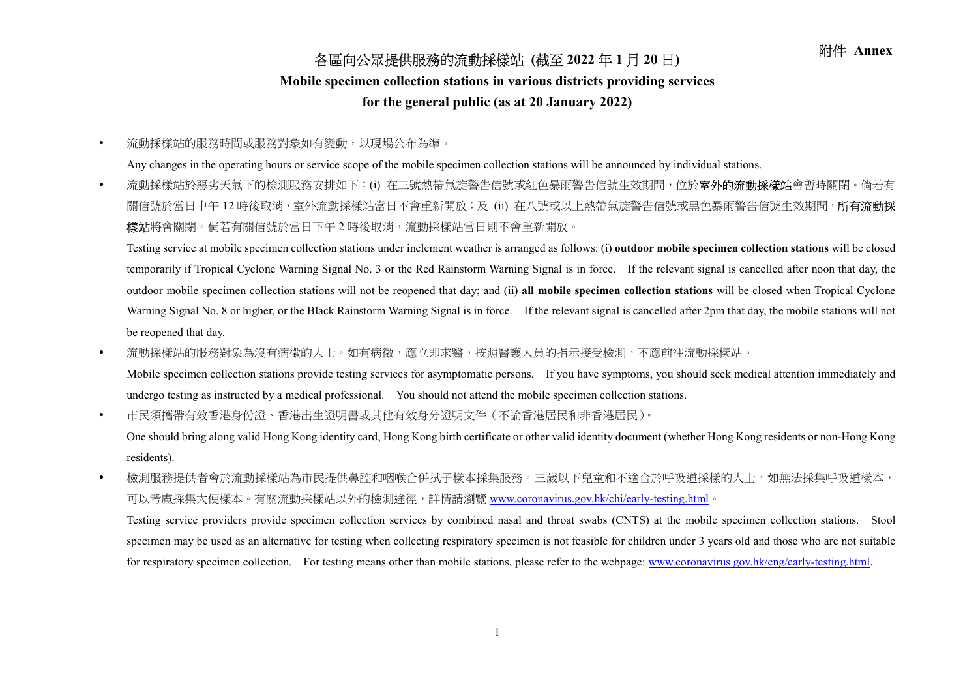## 各區向公眾提供服務的流動採樣站 (截至 2022 年 1 月 20 日) 附件 Annex

## Mobile specimen collection stations in various districts providing services

## for the general public (as at 20 January 2022)

流動採樣站的服務時間或服務對象如有變動,以現場公布為準。

Any changes in the operating hours or service scope of the mobile specimen collection stations will be announced by individual stations.

• 流動採樣站於惡劣天氣下的檢測服務安排如下:(i) 在三號熱帶氣旋警告信號或紅色暴雨警告信號生效期間,位於**室外的流動採樣站**會暫時關閉。倘若有 關信號於當日中午 12 時後取消,室外流動採樣站當日不會重新開放;及 (ii) 在八號或以上熱帶氣旋警告信號或黑色暴雨警告信號生效期間,**所有流動採 樣站**將會關閉。倘若有關信號於當日下午 2 時後取消,流動採樣站當日則不會重新開放。

Testing service at mobile specimen collection stations under inclement weather is arranged as follows: (i) **outdoor mobile specimen collection stations** will be closed temporarily if Tropical Cyclone Warning Signal No. 3 or the Red Rainstorm Warning Signal is in force. If the relevant signal is cancelled after noon that day, the outdoor mobile specimen collection stations will not be reopened that day; and (ii) all mobile specimen collection stations will be closed when Tropical Cyclone Warning Signal No. 8 or higher, or the Black Rainstorm Warning Signal is in force. If the relevant signal is cancelled after 2pm that day, the mobile stations will not be reopened that day.

• 流動採樣站的服務對象為沒有病徵的人士。如有病徵,應立即求醫,按照醫護人員的指示接受檢測,不應前往流動採樣站。

Mobile specimen collection stations provide testing services for asymptomatic persons. If you have symptoms, you should seek medical attention immediately and undergo testing as instructed by a medical professional. You should not attend the mobile specimen collection stations.

市民須攜帶有效香港身份證、香港出生證明書或其他有效身分證明文件(不論香港居民和非香港居民)。

One should bring along valid Hong Kong identity card, Hong Kong birth certificate or other valid identity document (whether Hong Kong residents or non-Hong Kong residents).

• 檢測服務提供者會於流動採樣站為市民提供鼻腔和咽喉合併拭子樣本採集服務。三歲以下兒童和不適合於呼吸道採樣的人士,如無法採集呼吸道樣本, 可以考慮採集大便樣本。有關流動採樣站以外的檢測途徑,詳情請瀏覽 www.coronavirus.gov.hk/chi/early-testing.html。

Testing service providers provide specimen collection services by combined nasal and throat swabs (CNTS) at the mobile specimen collection stations. Stool specimen may be used as an alternative for testing when collecting respiratory specimen is not feasible for children under 3 years old and those who are not suitable for respiratory specimen collection. For testing means other than mobile stations, please refer to the webpage: www.coronavirus.gov.hk/eng/early-testing.html.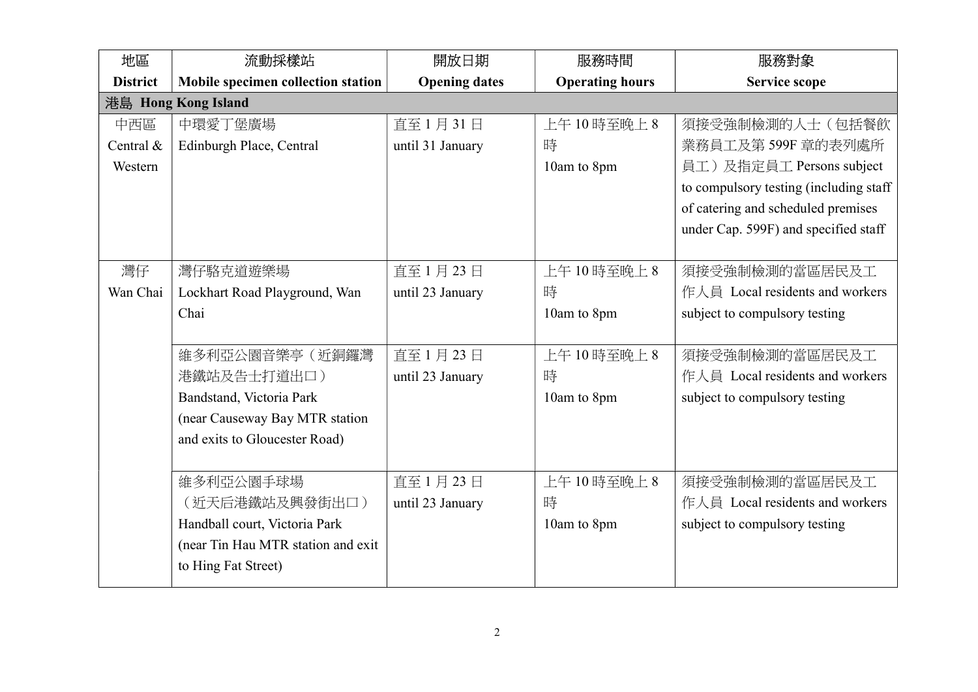| 地區              | 流動採樣站                              | 開放日期                 | 服務時間                   | 服務對象                                   |
|-----------------|------------------------------------|----------------------|------------------------|----------------------------------------|
| <b>District</b> | Mobile specimen collection station | <b>Opening dates</b> | <b>Operating hours</b> | <b>Service scope</b>                   |
|                 | 港島 Hong Kong Island                |                      |                        |                                        |
| 中西區             | 中環愛丁堡廣場                            | 直至1月31日              | 上午10時至晚上8              | 須接受強制檢測的人士(包括餐飲                        |
| Central &       | Edinburgh Place, Central           | until 31 January     | 時                      | 業務員工及第599F 章的表列處所                      |
| Western         |                                    |                      | 10am to 8pm            | 員工)及指定員工 Persons subject               |
|                 |                                    |                      |                        | to compulsory testing (including staff |
|                 |                                    |                      |                        | of catering and scheduled premises     |
|                 |                                    |                      |                        | under Cap. 599F) and specified staff   |
|                 |                                    |                      |                        |                                        |
| 灣仔              | 灣仔駱克道遊樂場                           | 直至1月23日              | 上午10時至晚上8              | 須接受強制檢測的當區居民及工                         |
| Wan Chai        | Lockhart Road Playground, Wan      | until 23 January     | 時                      | 作人員 Local residents and workers        |
|                 | Chai                               |                      | 10am to 8pm            | subject to compulsory testing          |
|                 |                                    |                      |                        |                                        |
|                 | 維多利亞公園音樂亭(近銅鑼灣                     | 直至1月23日              | 上午10時至晚上8              | 須接受強制檢測的當區居民及工                         |
|                 | 港鐵站及告士打道出口)                        | until 23 January     | 時                      | 作人員 Local residents and workers        |
|                 | Bandstand, Victoria Park           |                      | 10am to 8pm            | subject to compulsory testing          |
|                 | (near Causeway Bay MTR station     |                      |                        |                                        |
|                 | and exits to Gloucester Road)      |                      |                        |                                        |
|                 |                                    |                      |                        |                                        |
|                 | 維多利亞公園手球場                          | 直至1月23日              | 上午10時至晚上8              | 須接受強制檢測的當區居民及工                         |
|                 | (近天后港鐵站及興發街出口)                     | until 23 January     | 時                      | 作人員 Local residents and workers        |
|                 | Handball court, Victoria Park      |                      | 10am to 8pm            | subject to compulsory testing          |
|                 | (near Tin Hau MTR station and exit |                      |                        |                                        |
|                 | to Hing Fat Street)                |                      |                        |                                        |
|                 |                                    |                      |                        |                                        |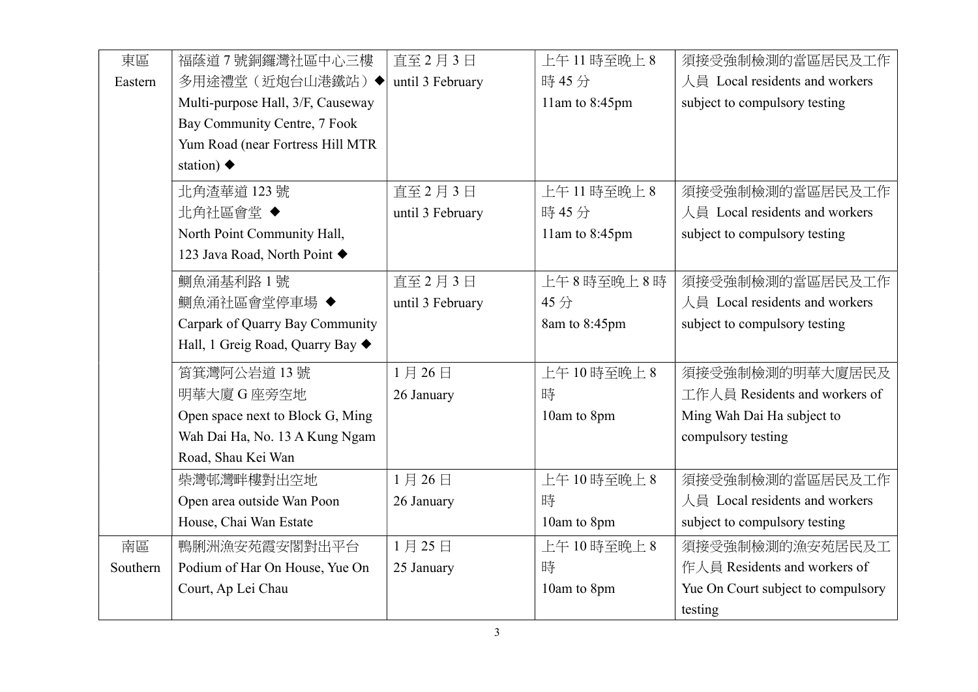| 東區       | 福蔭道7號銅鑼灣社區中心三樓                    | 直至2月3日           | 上午11時至晚上8      | 須接受強制檢測的當區居民及工作                    |
|----------|-----------------------------------|------------------|----------------|------------------------------------|
| Eastern  | 多用途禮堂(近炮台山港鐵站)◆                   | until 3 February | 時45分           | 人員 Local residents and workers     |
|          | Multi-purpose Hall, 3/F, Causeway |                  | 11am to 8:45pm | subject to compulsory testing      |
|          | Bay Community Centre, 7 Fook      |                  |                |                                    |
|          | Yum Road (near Fortress Hill MTR  |                  |                |                                    |
|          | station) $\blacklozenge$          |                  |                |                                    |
|          | 北角渣華道 123號                        | 直至2月3日           | 上午11時至晚上8      | 須接受強制檢測的當區居民及工作                    |
|          | 北角社區會堂◆                           | until 3 February | 時45分           | 人員 Local residents and workers     |
|          | North Point Community Hall,       |                  | 11am to 8:45pm | subject to compulsory testing      |
|          | 123 Java Road, North Point ♦      |                  |                |                                    |
|          | 鰂魚涌基利路1號                          | 直至2月3日           | 上午8時至晚上8時      | 須接受強制檢測的當區居民及工作                    |
|          | 鰂魚涌社區會堂停車場◆                       | until 3 February | 45分            | 人員 Local residents and workers     |
|          | Carpark of Quarry Bay Community   |                  | 8am to 8:45pm  | subject to compulsory testing      |
|          | Hall, 1 Greig Road, Quarry Bay ♦  |                  |                |                                    |
|          | 筲箕灣阿公岩道13號                        | 1月26日            | 上午10時至晚上8      | 須接受強制檢測的明華大廈居民及                    |
|          | 明華大廈 G 座旁空地                       | 26 January       | 時              | 工作人員 Residents and workers of      |
|          | Open space next to Block G, Ming  |                  | 10am to 8pm    | Ming Wah Dai Ha subject to         |
|          | Wah Dai Ha, No. 13 A Kung Ngam    |                  |                | compulsory testing                 |
|          | Road, Shau Kei Wan                |                  |                |                                    |
|          | 柴灣邨灣畔樓對出空地                        | 1月26日            | 上午10時至晚上8      | 須接受強制檢測的當區居民及工作                    |
|          | Open area outside Wan Poon        | 26 January       | 時              | 人員 Local residents and workers     |
|          | House, Chai Wan Estate            |                  | 10am to 8pm    | subject to compulsory testing      |
| 南區       | 鴨脷洲漁安苑霞安閣對出平台                     | 1月25日            | 上午10時至晚上8      | 須接受強制檢測的漁安苑居民及工                    |
| Southern | Podium of Har On House, Yue On    | 25 January       | 時              | 作人員 Residents and workers of       |
|          | Court, Ap Lei Chau                |                  | 10am to 8pm    | Yue On Court subject to compulsory |
|          |                                   |                  |                | testing                            |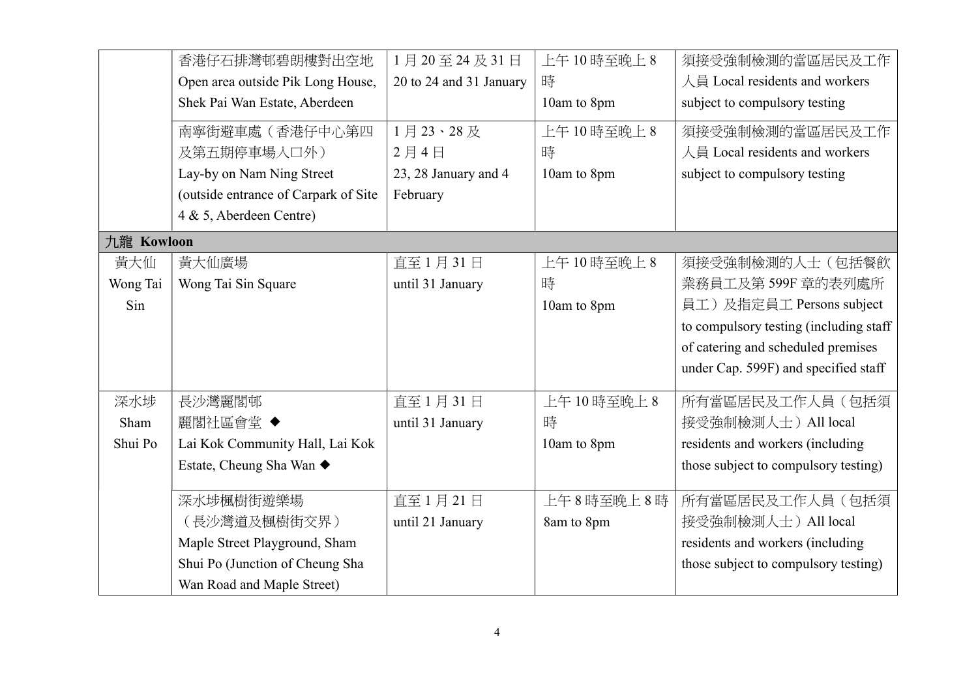|            | 香港仔石排灣邨碧朗樓對出空地                       | 1月20至24及31日             | 上午10時至晚上8   | 須接受強制檢測的當區居民及工作                        |
|------------|--------------------------------------|-------------------------|-------------|----------------------------------------|
|            | Open area outside Pik Long House,    | 20 to 24 and 31 January | 時           | 人員 Local residents and workers         |
|            | Shek Pai Wan Estate, Aberdeen        |                         | 10am to 8pm | subject to compulsory testing          |
|            | 南寧街避車處(香港仔中心第四                       | 1月23、28及                | 上午10時至晚上8   | 須接受強制檢測的當區居民及工作                        |
|            | 及第五期停車場入口外)                          | 2月4日                    | 時           | 人員 Local residents and workers         |
|            | Lay-by on Nam Ning Street            | 23, 28 January and 4    | 10am to 8pm | subject to compulsory testing          |
|            | (outside entrance of Carpark of Site | February                |             |                                        |
|            | 4 & 5, Aberdeen Centre)              |                         |             |                                        |
| 九龍 Kowloon |                                      |                         |             |                                        |
| 黃大仙        | 黃大仙廣場                                | 直至1月31日                 | 上午10時至晚上8   | 須接受強制檢測的人士(包括餐飲                        |
| Wong Tai   | Wong Tai Sin Square                  | until 31 January        | 時           | 業務員工及第599F 章的表列處所                      |
| Sin        |                                      |                         | 10am to 8pm | 員工)及指定員工 Persons subject               |
|            |                                      |                         |             | to compulsory testing (including staff |
|            |                                      |                         |             | of catering and scheduled premises     |
|            |                                      |                         |             | under Cap. 599F) and specified staff   |
| 深水埗        | 長沙灣麗閣邨                               | 直至1月31日                 | 上午10時至晚上8   | 所有當區居民及工作人員(包括須                        |
| Sham       | 麗閣社區會堂 ◆                             | until 31 January        | 時           | 接受強制檢測人士) All local                    |
| Shui Po    | Lai Kok Community Hall, Lai Kok      |                         | 10am to 8pm | residents and workers (including       |
|            | Estate, Cheung Sha Wan ◆             |                         |             | those subject to compulsory testing)   |
|            | 深水埗楓樹街遊樂場                            | 直至1月21日                 | 上午8時至晚上8時   | 所有當區居民及工作人員(包括須                        |
|            |                                      |                         |             |                                        |
|            | (長沙灣道及楓樹街交界)                         | until 21 January        | 8am to 8pm  | 接受強制檢測人士) All local                    |
|            | Maple Street Playground, Sham        |                         |             | residents and workers (including       |
|            | Shui Po (Junction of Cheung Sha      |                         |             | those subject to compulsory testing)   |
|            | Wan Road and Maple Street)           |                         |             |                                        |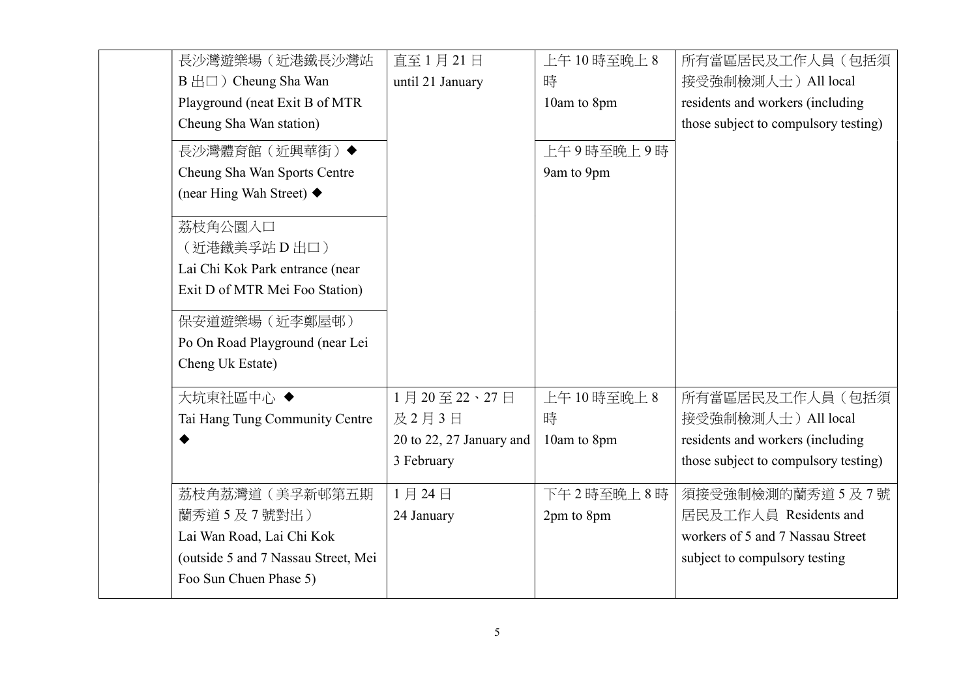| 長沙灣遊樂場(近港鐵長沙灣站                           | 直至1月21日                  | 上午10時至晚上8   | 所有當區居民及工作人員(包括須                      |
|------------------------------------------|--------------------------|-------------|--------------------------------------|
| $B \nleftrightarrow \Box$ Cheung Sha Wan | until 21 January         | 時           | 接受強制檢測人士) All local                  |
| Playground (neat Exit B of MTR           |                          | 10am to 8pm | residents and workers (including     |
| Cheung Sha Wan station)                  |                          |             | those subject to compulsory testing) |
| 長沙灣體育館 (近興華街)◆                           |                          | 上午9時至晚上9時   |                                      |
| Cheung Sha Wan Sports Centre             |                          | 9am to 9pm  |                                      |
| (near Hing Wah Street) $\blacklozenge$   |                          |             |                                      |
| 荔枝角公園入口                                  |                          |             |                                      |
| (近港鐵美孚站 D 出口)                            |                          |             |                                      |
| Lai Chi Kok Park entrance (near          |                          |             |                                      |
| Exit D of MTR Mei Foo Station)           |                          |             |                                      |
| 保安道遊樂場 (近李鄭屋邨)                           |                          |             |                                      |
| Po On Road Playground (near Lei          |                          |             |                                      |
| Cheng Uk Estate)                         |                          |             |                                      |
| 大坑東社區中心◆                                 | 1月20至22、27日              | 上午10時至晚上8   | 所有當區居民及工作人員(包括須                      |
| Tai Hang Tung Community Centre           | 及2月3日                    | 時           | 接受強制檢測人士) All local                  |
|                                          | 20 to 22, 27 January and | 10am to 8pm | residents and workers (including     |
|                                          | 3 February               |             | those subject to compulsory testing) |
| 荔枝角荔灣道(美孚新邨第五期                           | 1月24日                    | 下午2時至晚上8時   | 須接受強制檢測的蘭秀道5及7號                      |
| 蘭秀道5及7號對出)                               | 24 January               | 2pm to 8pm  | 居民及工作人員 Residents and                |
| Lai Wan Road, Lai Chi Kok                |                          |             | workers of 5 and 7 Nassau Street     |
| (outside 5 and 7 Nassau Street, Mei      |                          |             | subject to compulsory testing        |
| Foo Sun Chuen Phase 5)                   |                          |             |                                      |
|                                          |                          |             |                                      |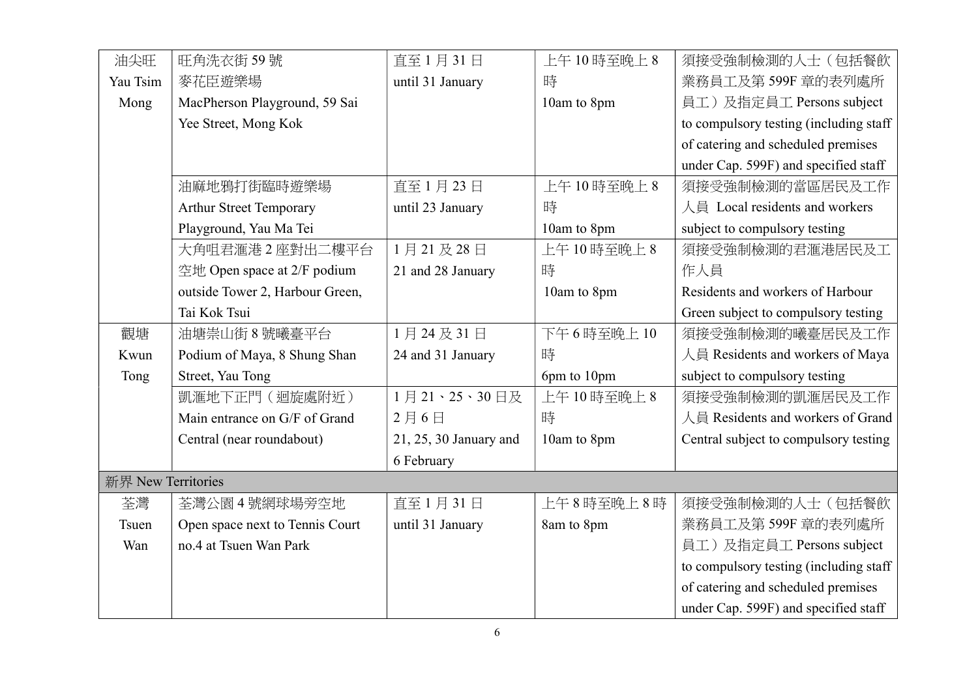| 油尖旺                | 旺角洗衣街59號                        | 直至1月31日                | 上午10時至晚上8   | 須接受強制檢測的人士(包括餐飲                        |
|--------------------|---------------------------------|------------------------|-------------|----------------------------------------|
| Yau Tsim           | 麥花臣遊樂場                          | until 31 January       | 時           | 業務員工及第599F 章的表列處所                      |
| Mong               | MacPherson Playground, 59 Sai   |                        | 10am to 8pm | 員工)及指定員工 Persons subject               |
|                    | Yee Street, Mong Kok            |                        |             | to compulsory testing (including staff |
|                    |                                 |                        |             | of catering and scheduled premises     |
|                    |                                 |                        |             | under Cap. 599F) and specified staff   |
|                    | 油麻地鴉打街臨時遊樂場                     | 直至1月23日                | 上午10時至晚上8   | 須接受強制檢測的當區居民及工作                        |
|                    | <b>Arthur Street Temporary</b>  | until 23 January       | 時           | 人員 Local residents and workers         |
|                    | Playground, Yau Ma Tei          |                        | 10am to 8pm | subject to compulsory testing          |
|                    | 大角咀君滙港2座對出二樓平台                  | 1月21及28日               | 上午10時至晚上8   | 須接受強制檢測的君滙港居民及工                        |
|                    | 空地 Open space at 2/F podium     | 21 and 28 January      | 時           | 作人員                                    |
|                    | outside Tower 2, Harbour Green, |                        | 10am to 8pm | Residents and workers of Harbour       |
|                    | Tai Kok Tsui                    |                        |             | Green subject to compulsory testing    |
| 觀塘                 | 油塘崇山街 8號曦臺平台                    | 1月24及31日               | 下午6時至晚上10   | 須接受強制檢測的曦臺居民及工作                        |
| Kwun               | Podium of Maya, 8 Shung Shan    | 24 and 31 January      | 時           | 人員 Residents and workers of Maya       |
| Tong               | Street, Yau Tong                |                        | 6pm to 10pm | subject to compulsory testing          |
|                    | 凱滙地下正門 (迴旋處附近)                  | 1月21、25、30日及           | 上午10時至晚上8   | 須接受強制檢測的凱滙居民及工作                        |
|                    | Main entrance on G/F of Grand   | 2月6日                   | 時           | 人員 Residents and workers of Grand      |
|                    | Central (near roundabout)       | 21, 25, 30 January and | 10am to 8pm | Central subject to compulsory testing  |
|                    |                                 | 6 February             |             |                                        |
| 新界 New Territories |                                 |                        |             |                                        |
| 荃灣                 | 荃灣公園4號網球場旁空地                    | 直至1月31日                | 上午8時至晚上8時   | 須接受強制檢測的人士(包括餐飲                        |
| Tsuen              | Open space next to Tennis Court | until 31 January       | 8am to 8pm  | 業務員工及第599F 章的表列處所                      |
| Wan                | no.4 at Tsuen Wan Park          |                        |             | 員工)及指定員工 Persons subject               |
|                    |                                 |                        |             | to compulsory testing (including staff |
|                    |                                 |                        |             | of catering and scheduled premises     |
|                    |                                 |                        |             | under Cap. 599F) and specified staff   |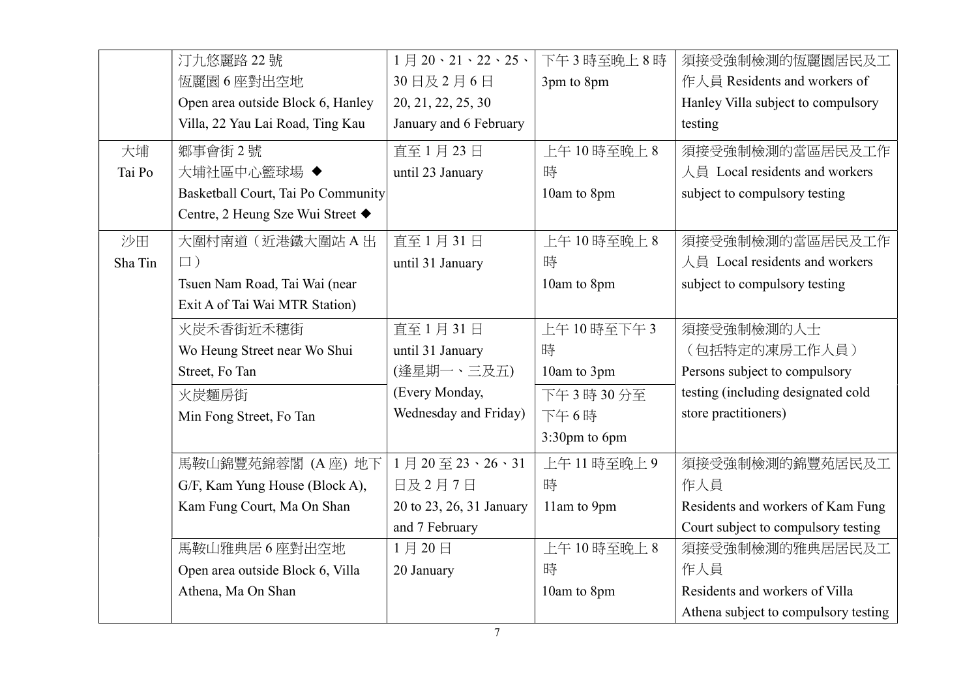|         | 汀九悠麗路 22號                          | $1$ 月 20、21、22、25、       | 下午3時至晚上8時     | 須接受強制檢測的恆麗園居民及工                      |
|---------|------------------------------------|--------------------------|---------------|--------------------------------------|
|         | 恆麗園6座對出空地                          | 30日及2月6日                 | 3pm to 8pm    | 作人員 Residents and workers of         |
|         | Open area outside Block 6, Hanley  | 20, 21, 22, 25, 30       |               | Hanley Villa subject to compulsory   |
|         | Villa, 22 Yau Lai Road, Ting Kau   | January and 6 February   |               | testing                              |
| 大埔      | 鄉事會街2號                             | 直至1月23日                  | 上午10時至晚上8     | 須接受強制檢測的當區居民及工作                      |
| Tai Po  | 大埔社區中心籃球場 ◆                        | until 23 January         | 時             | 人員 Local residents and workers       |
|         | Basketball Court, Tai Po Community |                          | 10am to 8pm   | subject to compulsory testing        |
|         | Centre, 2 Heung Sze Wui Street ◆   |                          |               |                                      |
| 沙田      | 大圍村南道(近港鐵大圍站A出                     | 直至1月31日                  | 上午10時至晚上8     | 須接受強制檢測的當區居民及工作                      |
| Sha Tin | $\Box$ )                           | until 31 January         | 時             | 人員 Local residents and workers       |
|         | Tsuen Nam Road, Tai Wai (near      |                          | 10am to 8pm   | subject to compulsory testing        |
|         | Exit A of Tai Wai MTR Station)     |                          |               |                                      |
|         | 火炭禾香街近禾穗街                          | 直至1月31日                  | 上午10時至下午3     | 須接受強制檢測的人士                           |
|         | Wo Heung Street near Wo Shui       | until 31 January         | 時             | (包括特定的凍房工作人員)                        |
|         | Street, Fo Tan                     | (逢星期一、三及五)               | 10am to 3pm   | Persons subject to compulsory        |
|         | 火炭麵房街                              | (Every Monday,           | 下午3時30分至      | testing (including designated cold   |
|         | Min Fong Street, Fo Tan            | Wednesday and Friday)    | 下午6時          | store practitioners)                 |
|         |                                    |                          | 3:30pm to 6pm |                                      |
|         | 馬鞍山錦豐苑錦蓉閣 (A座) 地下                  | 1月20至23、26、31            | 上午11時至晚上9     | 須接受強制檢測的錦豐苑居民及工                      |
|         | G/F, Kam Yung House (Block A),     | 日及2月7日                   | 時             | 作人員                                  |
|         | Kam Fung Court, Ma On Shan         | 20 to 23, 26, 31 January | 11am to 9pm   | Residents and workers of Kam Fung    |
|         |                                    | and 7 February           |               | Court subject to compulsory testing  |
|         | 馬鞍山雅典居6座對出空地                       | 1月20日                    | 上午10時至晚上8     | 須接受強制檢測的雅典居居民及工                      |
|         | Open area outside Block 6, Villa   | 20 January               | 時             | 作人員                                  |
|         | Athena, Ma On Shan                 |                          | 10am to 8pm   | Residents and workers of Villa       |
|         |                                    |                          |               | Athena subject to compulsory testing |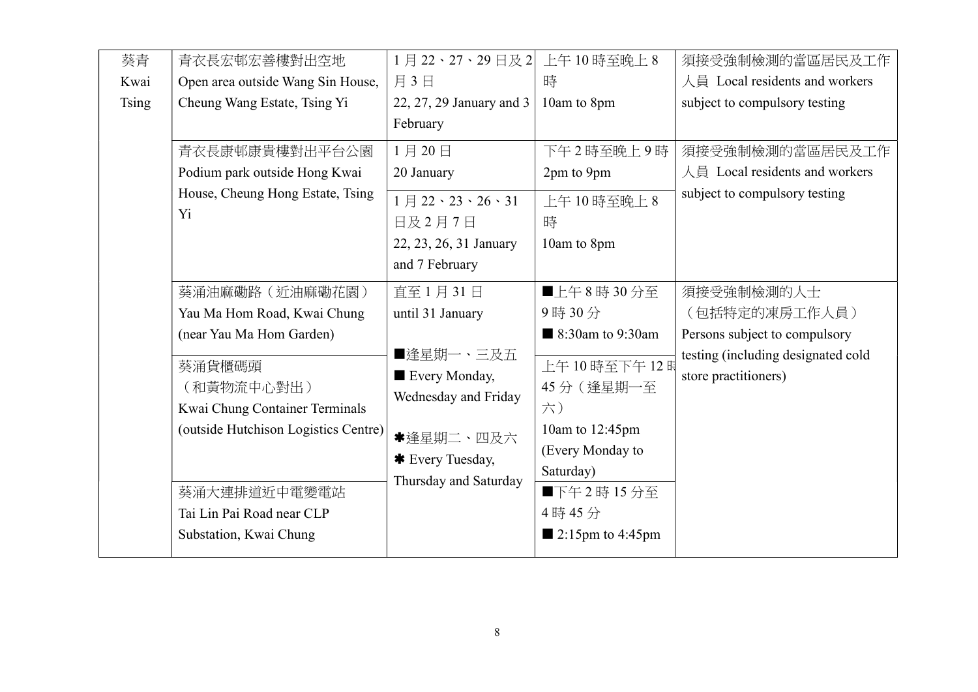| 葵青           | 青衣長宏邨宏善樓對出空地                         | 1月22、27、29日及2 上午10時至晚上8                   |                                 | 須接受強制檢測的當區居民及工作                    |
|--------------|--------------------------------------|-------------------------------------------|---------------------------------|------------------------------------|
| Kwai         | Open area outside Wang Sin House,    | 月3日                                       | 時                               | 人員 Local residents and workers     |
| <b>Tsing</b> | Cheung Wang Estate, Tsing Yi         | 22, 27, 29 January and 3                  | 10am to 8pm                     | subject to compulsory testing      |
|              |                                      | February                                  |                                 |                                    |
|              | 青衣長康邨康貴樓對出平台公園                       | 1月20日                                     | 下午2時至晚上9時                       | 須接受強制檢測的當區居民及工作                    |
|              | Podium park outside Hong Kwai        | 20 January                                | 2pm to 9pm                      | 人員 Local residents and workers     |
|              | House, Cheung Hong Estate, Tsing     | $1 \frac{1}{22}$ , $23 \cdot 26 \cdot 31$ | 上午10時至晚上8                       | subject to compulsory testing      |
|              | Yi.                                  | 日及2月7日                                    | 時                               |                                    |
|              |                                      | 22, 23, 26, 31 January                    | 10am to 8pm                     |                                    |
|              |                                      | and 7 February                            |                                 |                                    |
|              | 葵涌油麻磡路 (近油麻磡花園)                      | 直至1月31日                                   | ■上午8時30分至                       | 須接受強制檢測的人士                         |
|              | Yau Ma Hom Road, Kwai Chung          | until 31 January                          | 9時30分                           | (包括特定的凍房工作人員)                      |
|              | (near Yau Ma Hom Garden)             |                                           | 8:30am to 9:30am                | Persons subject to compulsory      |
|              | 葵涌貨櫃碼頭                               | ■逢星期一、三及五                                 | 上午10時至下午12時                     | testing (including designated cold |
|              | (和黃物流中心對出)                           | Every Monday,                             | 45分 (逢星期一至                      | store practitioners)               |
|              | Kwai Chung Container Terminals       | Wednesday and Friday                      | 六)                              |                                    |
|              | (outside Hutchison Logistics Centre) | *逢星期二、四及六                                 | 10am to 12:45pm                 |                                    |
|              |                                      | * Every Tuesday,                          | (Every Monday to                |                                    |
|              |                                      | Thursday and Saturday                     | Saturday)                       |                                    |
|              | 葵涌大連排道近中電變電站                         |                                           | ■下午2時15分至                       |                                    |
|              | Tai Lin Pai Road near CLP            |                                           | 4時45分                           |                                    |
|              | Substation, Kwai Chung               |                                           | $\blacksquare$ 2:15pm to 4:45pm |                                    |
|              |                                      |                                           |                                 |                                    |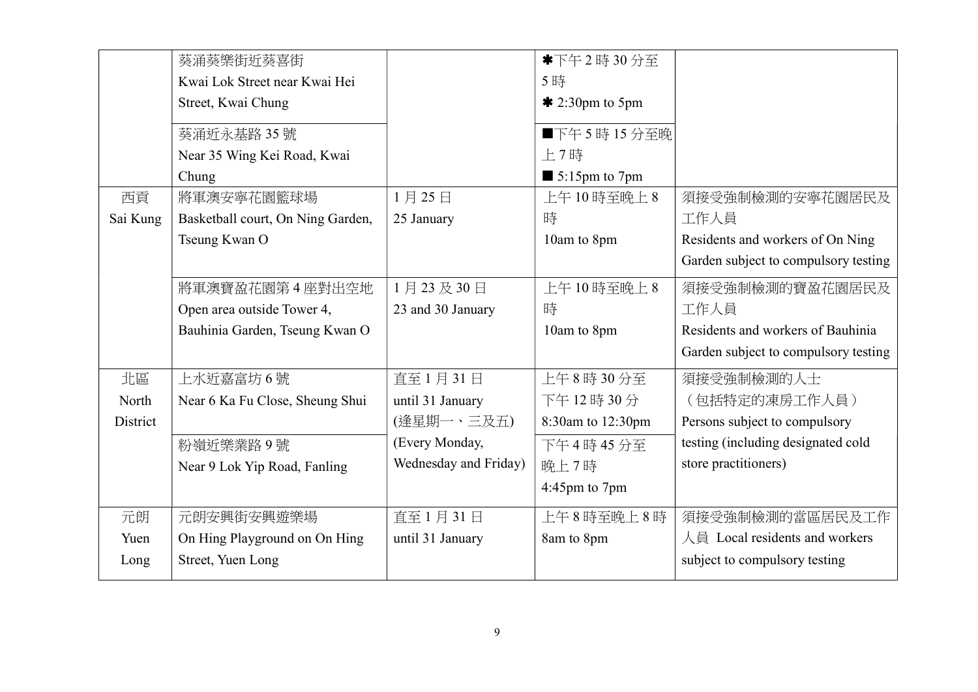|          | 葵涌葵樂街近葵喜街                         |                       | *下午2時30分至                    |                                      |
|----------|-----------------------------------|-----------------------|------------------------------|--------------------------------------|
|          | Kwai Lok Street near Kwai Hei     |                       | 5時                           |                                      |
|          | Street, Kwai Chung                |                       | $*$ 2:30pm to 5pm            |                                      |
|          | 葵涌近永基路 35號                        |                       | ■下午5時15分至晚                   |                                      |
|          | Near 35 Wing Kei Road, Kwai       |                       | 上7時                          |                                      |
|          | Chung                             |                       | $\blacksquare$ 5:15pm to 7pm |                                      |
| 西貢       | 將軍澳安寧花園籃球場                        | 1月25日                 | 上午10時至晚上8                    | 須接受強制檢測的安寧花園居民及                      |
| Sai Kung | Basketball court, On Ning Garden, | 25 January            | 時                            | 工作人員                                 |
|          | Tseung Kwan O                     |                       | 10am to 8pm                  | Residents and workers of On Ning     |
|          |                                   |                       |                              | Garden subject to compulsory testing |
|          | 將軍澳寶盈花園第4座對出空地                    | 1月23及30日              | 上午10時至晚上8                    | 須接受強制檢測的寶盈花園居民及                      |
|          | Open area outside Tower 4,        | 23 and 30 January     | 時                            | 工作人員                                 |
|          | Bauhinia Garden, Tseung Kwan O    |                       | 10am to 8pm                  | Residents and workers of Bauhinia    |
|          |                                   |                       |                              | Garden subject to compulsory testing |
| 北區       | 上水近嘉富坊 6 號                        | 直至1月31日               | 上午8時30分至                     | 須接受強制檢測的人士                           |
| North    | Near 6 Ka Fu Close, Sheung Shui   | until 31 January      | 下午12時30分                     | (包括特定的凍房工作人員)                        |
| District |                                   | (逢星期一、三及五)            | 8:30am to 12:30pm            | Persons subject to compulsory        |
|          | 粉嶺近樂業路9號                          | (Every Monday,        | 下午4時45分至                     | testing (including designated cold   |
|          | Near 9 Lok Yip Road, Fanling      | Wednesday and Friday) | 晚上7時                         | store practitioners)                 |
|          |                                   |                       | 4:45pm to 7pm                |                                      |
| 元朗       | 元朗安興街安興遊樂場                        | 直至1月31日               | 上午8時至晚上8時                    | 須接受強制檢測的當區居民及工作                      |
| Yuen     | On Hing Playground on On Hing     | until 31 January      | 8am to 8pm                   | 人員 Local residents and workers       |
| Long     | Street, Yuen Long                 |                       |                              | subject to compulsory testing        |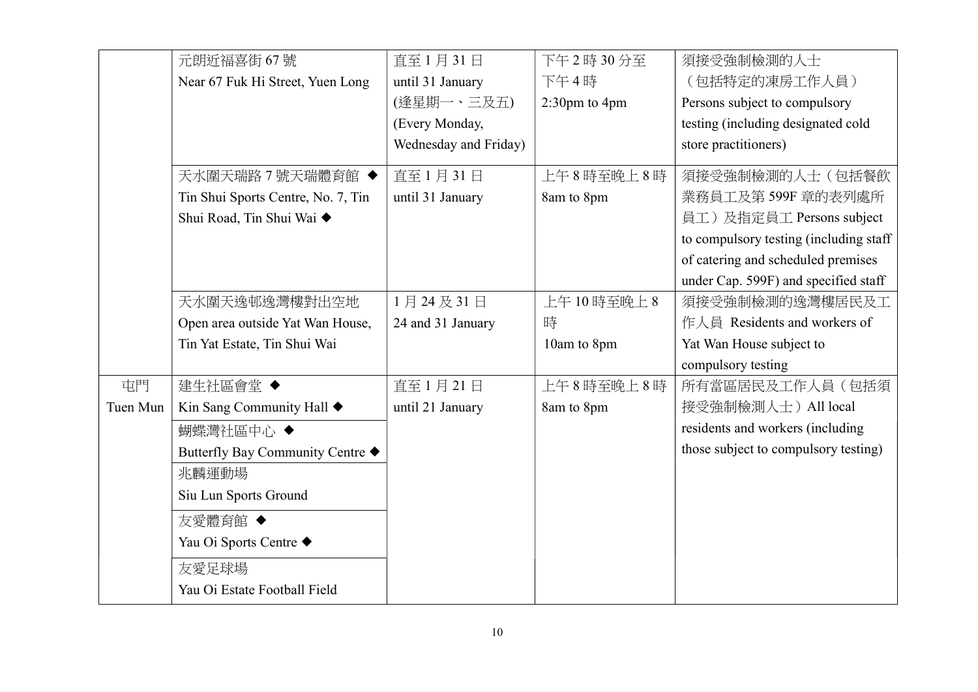|          | 元朗近福喜街 67號                         | 直至1月31日               | 下午2時30分至         | 須接受強制檢測的人士                             |
|----------|------------------------------------|-----------------------|------------------|----------------------------------------|
|          | Near 67 Fuk Hi Street, Yuen Long   | until 31 January      | 下午4時             | (包括特定的凍房工作人員)                          |
|          |                                    | (逢星期一、三及五)            | $2:30$ pm to 4pm | Persons subject to compulsory          |
|          |                                    | (Every Monday,        |                  | testing (including designated cold     |
|          |                                    | Wednesday and Friday) |                  | store practitioners)                   |
|          | 天水圍天瑞路7號天瑞體育館 ◆                    | 直至1月31日               | 上午8時至晚上8時        | 須接受強制檢測的人士(包括餐飲                        |
|          | Tin Shui Sports Centre, No. 7, Tin | until 31 January      | 8am to 8pm       | 業務員工及第599F 章的表列處所                      |
|          | Shui Road, Tin Shui Wai ◆          |                       |                  | 員工)及指定員工 Persons subject               |
|          |                                    |                       |                  | to compulsory testing (including staff |
|          |                                    |                       |                  | of catering and scheduled premises     |
|          |                                    |                       |                  | under Cap. 599F) and specified staff   |
|          | 天水圍天逸邨逸灣樓對出空地                      | 1月24及31日              | 上午10時至晚上8        | 須接受強制檢測的逸灣樓居民及工                        |
|          | Open area outside Yat Wan House,   | 24 and 31 January     | 時                | 作人員 Residents and workers of           |
|          | Tin Yat Estate, Tin Shui Wai       |                       | 10am to 8pm      | Yat Wan House subject to               |
|          |                                    |                       |                  | compulsory testing                     |
| 屯門       | 建生社區會堂◆                            | 直至1月21日               | 上午8時至晚上8時        | 所有當區居民及工作人員(包括須                        |
| Tuen Mun | Kin Sang Community Hall ♦          | until 21 January      | 8am to 8pm       | 接受強制檢測人士) All local                    |
|          | 蝴蝶灣社區中心 ◆                          |                       |                  | residents and workers (including       |
|          | Butterfly Bay Community Centre ◆   |                       |                  | those subject to compulsory testing)   |
|          | 兆麟運動場                              |                       |                  |                                        |
|          | Siu Lun Sports Ground              |                       |                  |                                        |
|          | 友愛體育館 ◆                            |                       |                  |                                        |
|          | Yau Oi Sports Centre ◆             |                       |                  |                                        |
|          | 友愛足球場                              |                       |                  |                                        |
|          | Yau Oi Estate Football Field       |                       |                  |                                        |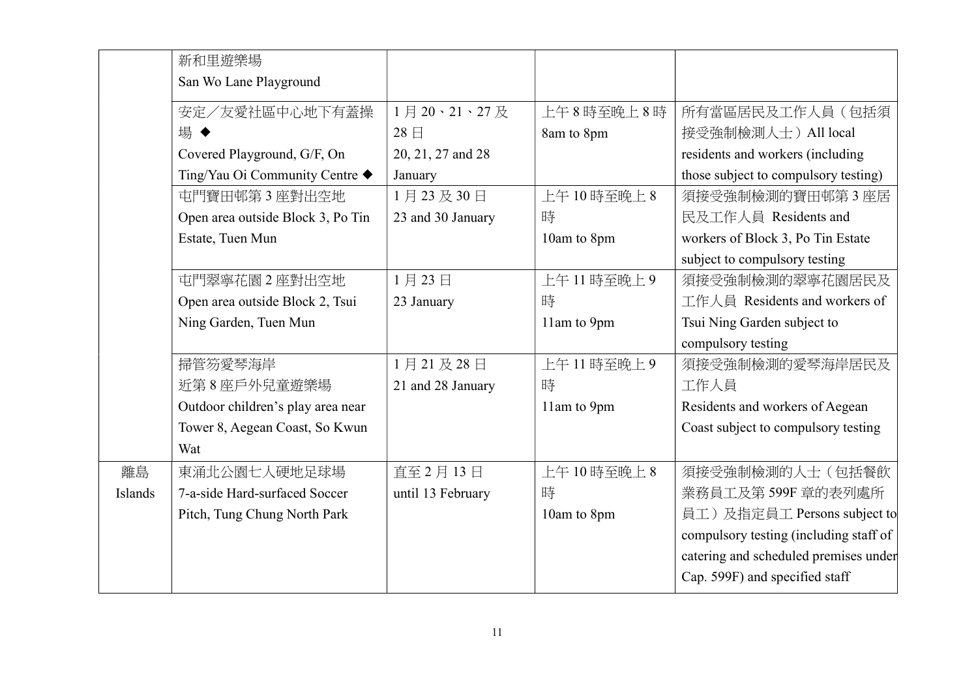|         | 新和里遊樂場                            |                   |             |                                        |
|---------|-----------------------------------|-------------------|-------------|----------------------------------------|
|         | San Wo Lane Playground            |                   |             |                                        |
|         | 安定/友愛社區中心地下有蓋操                    | 1月20、21、27及       | 上午8時至晚上8時   | 所有當區居民及工作人員(包括須                        |
|         | 場◆                                | 28日               | 8am to 8pm  | 接受強制檢測人士) All local                    |
|         | Covered Playground, G/F, On       | 20, 21, 27 and 28 |             | residents and workers (including       |
|         | Ting/Yau Oi Community Centre ◆    | January           |             | those subject to compulsory testing)   |
|         | 屯門寶田邨第3座對出空地                      | 1月23及30日          | 上午10時至晚上8   | 須接受強制檢測的寶田邨第3座居                        |
|         | Open area outside Block 3, Po Tin | 23 and 30 January | 時           | 民及工作人員 Residents and                   |
|         | Estate, Tuen Mun                  |                   | 10am to 8pm | workers of Block 3, Po Tin Estate      |
|         |                                   |                   |             | subject to compulsory testing          |
|         | 屯門翠寧花園2座對出空地                      | 1月23日             | 上午11時至晚上9   | 須接受強制檢測的翠寧花園居民及                        |
|         | Open area outside Block 2, Tsui   | 23 January        | 時           | 工作人員 Residents and workers of          |
|         | Ning Garden, Tuen Mun             |                   | 11am to 9pm | Tsui Ning Garden subject to            |
|         |                                   |                   |             | compulsory testing                     |
|         | 掃管笏愛琴海岸                           | 1月21及28日          | 上午11時至晚上9   | 須接受強制檢測的愛琴海岸居民及                        |
|         | 近第8座戶外兒童遊樂場                       | 21 and 28 January | 時           | 工作人員                                   |
|         | Outdoor children's play area near |                   | 11am to 9pm | Residents and workers of Aegean        |
|         | Tower 8, Aegean Coast, So Kwun    |                   |             | Coast subject to compulsory testing    |
|         | Wat                               |                   |             |                                        |
| 離島      | 東涌北公園七人硬地足球場                      | 直至 2月13日          | 上午10時至晚上8   | 須接受強制檢測的人士(包括餐飲                        |
| Islands | 7-a-side Hard-surfaced Soccer     | until 13 February | 時           | 業務員工及第599F 章的表列處所                      |
|         | Pitch, Tung Chung North Park      |                   | 10am to 8pm | 員工)及指定員工 Persons subject to            |
|         |                                   |                   |             | compulsory testing (including staff of |
|         |                                   |                   |             | catering and scheduled premises under  |
|         |                                   |                   |             | Cap. 599F) and specified staff         |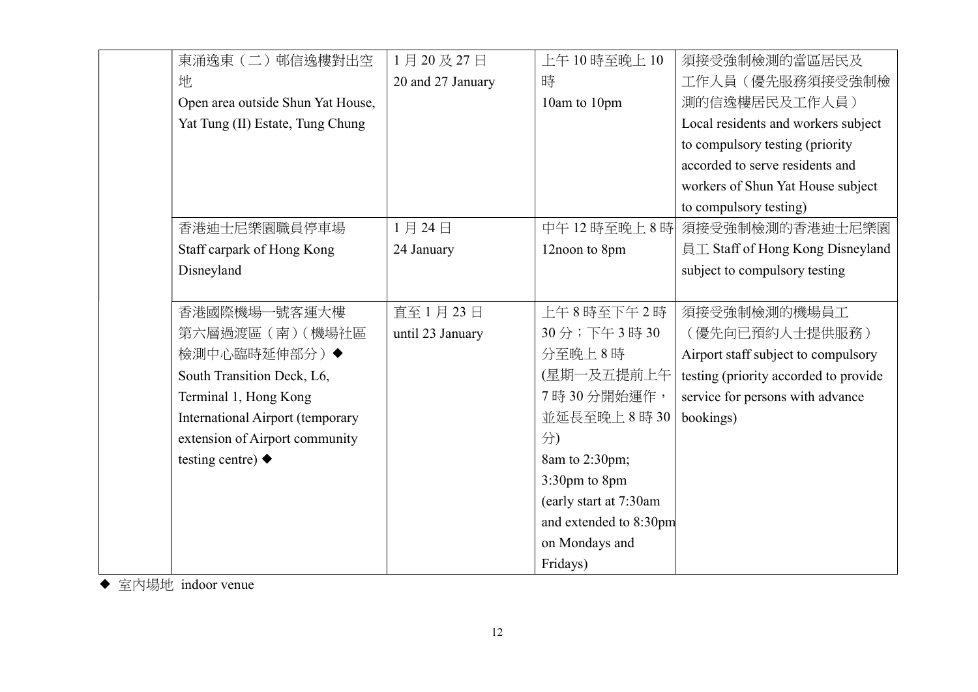| 東涌逸東 (二) 邨信逸樓對出空                        | 1月20及27日          | 上午10時至晚上10             | 須接受強制檢測的當區居民及                         |
|-----------------------------------------|-------------------|------------------------|---------------------------------------|
| 地                                       | 20 and 27 January | 時                      | 工作人員(優先服務須接受強制檢                       |
| Open area outside Shun Yat House,       |                   | 10am to 10pm           | 測的信逸樓居民及工作人員)                         |
| Yat Tung (II) Estate, Tung Chung        |                   |                        | Local residents and workers subject   |
|                                         |                   |                        | to compulsory testing (priority       |
|                                         |                   |                        | accorded to serve residents and       |
|                                         |                   |                        | workers of Shun Yat House subject     |
|                                         |                   |                        | to compulsory testing)                |
| 香港迪士尼樂園職員停車場                            | 1月24日             | 中午12時至晚上8時             | 須接受強制檢測的香港迪士尼樂園                       |
| Staff carpark of Hong Kong              | 24 January        | 12noon to 8pm          | 員工 Staff of Hong Kong Disneyland      |
| Disneyland                              |                   |                        | subject to compulsory testing         |
|                                         |                   |                        |                                       |
| 香港國際機場-<br>·號客運大樓                       | 直至1月23日           | 上午8時至下午2時              | 須接受強制檢測的機場員工                          |
| 第六層過渡區 (南) (機場社區                        | until 23 January  | 30分;下午3時30             | (優先向已預約人士提供服務)                        |
| 檢測中心臨時延伸部分)◆                            |                   | 分至晚上8時                 | Airport staff subject to compulsory   |
| South Transition Deck, L6,              |                   | (星期一及五提前上午)            | testing (priority accorded to provide |
| Terminal 1, Hong Kong                   |                   | 7時30分開始運作,             | service for persons with advance      |
| <b>International Airport (temporary</b> |                   | 並延長至晚上8時30             | bookings)                             |
| extension of Airport community          |                   | 分)                     |                                       |
| testing centre) $\blacklozenge$         |                   | 8am to 2:30pm;         |                                       |
|                                         |                   | 3:30pm to 8pm          |                                       |
|                                         |                   | (early start at 7:30am |                                       |
|                                         |                   | and extended to 8:30pm |                                       |
|                                         |                   | on Mondays and         |                                       |
|                                         |                   | Fridays)               |                                       |

◆ 室内場地 indoor venue